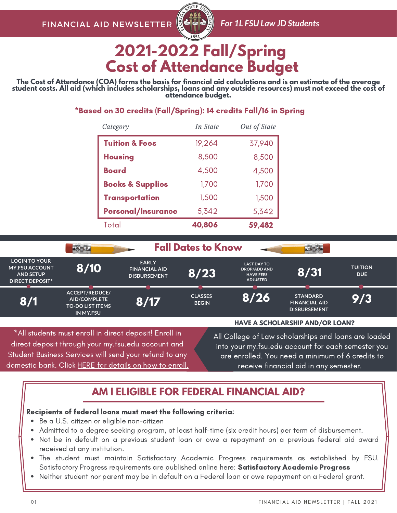

# **2021-2022 Fall/Spring Cost of Attendance Budget**

The Cost of Attendance (COA) forms the basis for financial aid calculations and is an estimate of the average student costs. All aid (which includes scholarships, loans and any outside resources) must not exceed the cost of **attendance budget.**

### \*Based on 30 credits (Fall/Spring): 14 credits Fall/16 in Spring

| Category                    | In State | Out of State |
|-----------------------------|----------|--------------|
| <b>Tuition &amp; Fees</b>   | 19,264   | 37,940       |
| <b>Housing</b>              | 8,500    | 8,500        |
| Board                       | 4,500    | 4,500        |
| <b>Books &amp; Supplies</b> | 1,700    | 1,700        |
| <b>Transportation</b>       | 1,500    | 1,500        |
| <b>Personal/Insurance</b>   | 5,342    | 5,342        |
| Total                       | 40,806   | 59,482       |

|                                                                                                                                                                                                                                                                                                                                          |                                                                                      | <b>Fall Dates to Know</b>                                   |                                |                                                                                  |                                                                |                              |
|------------------------------------------------------------------------------------------------------------------------------------------------------------------------------------------------------------------------------------------------------------------------------------------------------------------------------------------|--------------------------------------------------------------------------------------|-------------------------------------------------------------|--------------------------------|----------------------------------------------------------------------------------|----------------------------------------------------------------|------------------------------|
| <b>LOGIN TO YOUR</b><br><b>MY.FSU ACCOUNT</b><br><b>AND SETUP</b><br><b>DIRECT DEPOSIT*</b>                                                                                                                                                                                                                                              | 8/10                                                                                 | <b>EARLY</b><br><b>FINANCIAL AID</b><br><b>DISBURSEMENT</b> | 8/23                           | <b>LAST DAY TO</b><br><b>DROP/ADD AND</b><br><b>HAVE FEES</b><br><b>ADJUSTED</b> | 8/31                                                           | <b>TUITION</b><br><b>DUE</b> |
| 8/1                                                                                                                                                                                                                                                                                                                                      | ACCEPT/REDUCE/<br><b>AID/COMPLETE</b><br><b>TO-DO LIST ITEMS</b><br><b>IN MY.FSU</b> | 8/17                                                        | <b>CLASSES</b><br><b>BEGIN</b> | 8/26                                                                             | <b>STANDARD</b><br><b>FINANCIAL AID</b><br><b>DISBURSEMENT</b> | 9/3                          |
|                                                                                                                                                                                                                                                                                                                                          |                                                                                      |                                                             |                                |                                                                                  | <b>HAVE A SCHOLARSHIP AND/OR LOAN?</b>                         |                              |
| *All students must enroll in direct deposit! Enroll in<br>All College of Law scholarships and loans are loaded<br>direct deposit through your my.fsu.edu account and<br>into your my.fsu.edu account for each semester you<br>Student Business Services will send your refund to any<br>are enrolled. You need a minimum of 6 credits to |                                                                                      |                                                             |                                |                                                                                  |                                                                |                              |

domestic bank. Click HERE for [details](https://studentbusiness.fsu.edu/refunds/direct-deposit) on how to enroll.

receive financial aid in any semester.

### **AM I ELIGIBLE FOR FEDERAL FINANCIAL AID?**

### Recipients of federal loans must meet the following criteria:

- Be a U.S. citizen or eligible non-citizen
- Admitted to a degree seeking program, at least half-time (six credit hours) per term of disbursement.
- Not be in default on a previous student loan or owe a repayment on a previous federal aid award received at any institution.
- The student must maintain Satisfactory Academic Progress requirements as established by FSU. [Satisfactory](https://financialaid.fsu.edu/resources/satisfactory-academic-progress-policy) Progress requirements are published online here: Satisfactory Academic Progress
- Neither student nor parent may be in default on a Federal loan or owe repayment on a Federal grant.